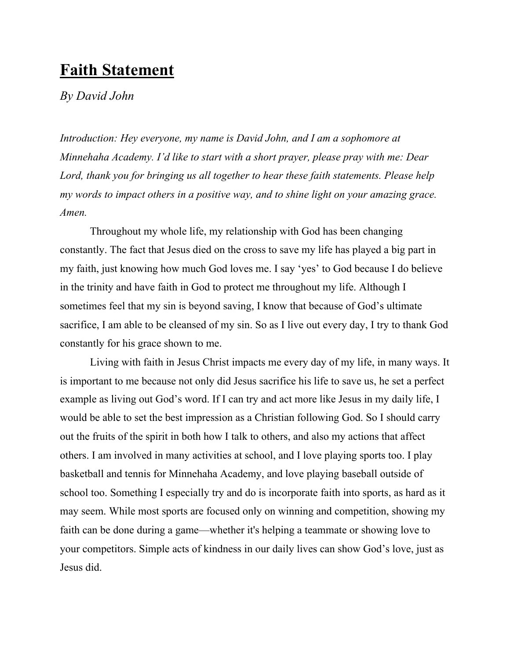## **Faith Statement**

## *By David John*

*Introduction: Hey everyone, my name is David John, and I am a sophomore at Minnehaha Academy. I'd like to start with a short prayer, please pray with me: Dear Lord, thank you for bringing us all together to hear these faith statements. Please help my words to impact others in a positive way, and to shine light on your amazing grace. Amen.*

Throughout my whole life, my relationship with God has been changing constantly. The fact that Jesus died on the cross to save my life has played a big part in my faith, just knowing how much God loves me. I say 'yes' to God because I do believe in the trinity and have faith in God to protect me throughout my life. Although I sometimes feel that my sin is beyond saving, I know that because of God's ultimate sacrifice, I am able to be cleansed of my sin. So as I live out every day, I try to thank God constantly for his grace shown to me.

Living with faith in Jesus Christ impacts me every day of my life, in many ways. It is important to me because not only did Jesus sacrifice his life to save us, he set a perfect example as living out God's word. If I can try and act more like Jesus in my daily life, I would be able to set the best impression as a Christian following God. So I should carry out the fruits of the spirit in both how I talk to others, and also my actions that affect others. I am involved in many activities at school, and I love playing sports too. I play basketball and tennis for Minnehaha Academy, and love playing baseball outside of school too. Something I especially try and do is incorporate faith into sports, as hard as it may seem. While most sports are focused only on winning and competition, showing my faith can be done during a game—whether it's helping a teammate or showing love to your competitors. Simple acts of kindness in our daily lives can show God's love, just as Jesus did.